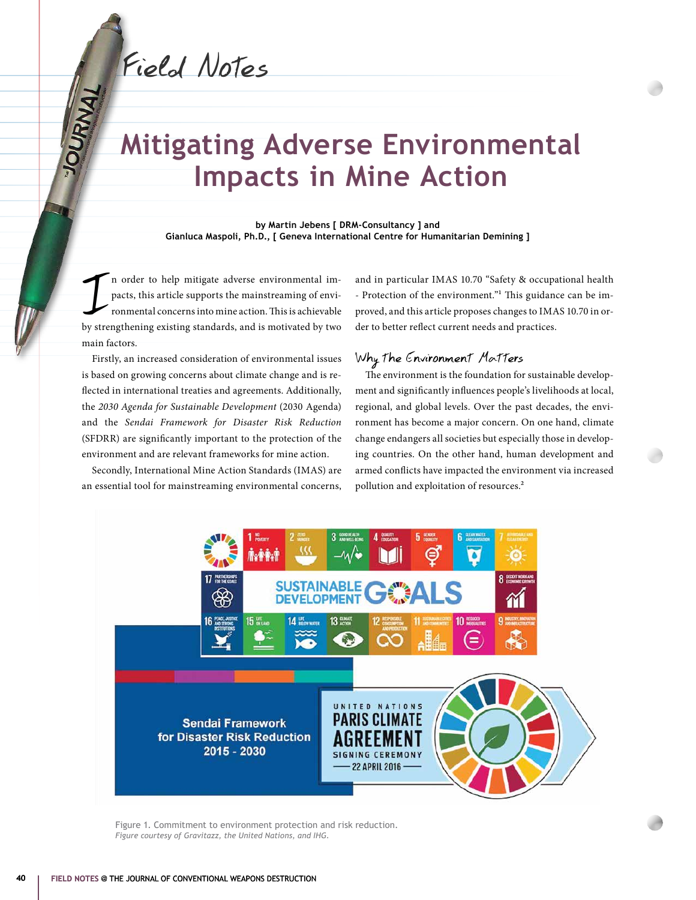Field Notes

# **Mitigating Adverse Environmental Impacts in Mine Action**

**by Martin Jebens [ DRM-Consultancy ] and Gianluca Maspoli, Ph.D., [ Geneva International Centre for Humanitarian Demining ]**

In order to help mitigate adverse environmental impacts, this article supports the mainstreaming of environmental concerns into mine action. This is achievable by strengthening existing standards, and is motivated by two n order to help mitigate adverse environmental impacts, this article supports the mainstreaming of environmental concerns into mine action. This is achievable main factors.

Firstly, an increased consideration of environmental issues is based on growing concerns about climate change and is reflected in international treaties and agreements. Additionally, the *2030 Agenda for Sustainable Development* (2030 Agenda) and the *Sendai Framework for Disaster Risk Reduction* (SFDRR) are significantly important to the protection of the environment and are relevant frameworks for mine action.

Secondly, International Mine Action Standards (IMAS) are an essential tool for mainstreaming environmental concerns,

and in particular IMAS 10.70 "Safety & occupational health - Protection of the environment."1 This guidance can be improved, and this article proposes changes to IMAS 10.70 in order to better reflect current needs and practices.

## Why the Environment Matters

The environment is the foundation for sustainable development and significantly influences people's livelihoods at local, regional, and global levels. Over the past decades, the environment has become a major concern. On one hand, climate change endangers all societies but especially those in developing countries. On the other hand, human development and armed conflicts have impacted the environment via increased pollution and exploitation of resources.<sup>2</sup>



Figure 1. Commitment to environment protection and risk reduction. *Figure courtesy of Gravitazz, the United Nations, and IHG.*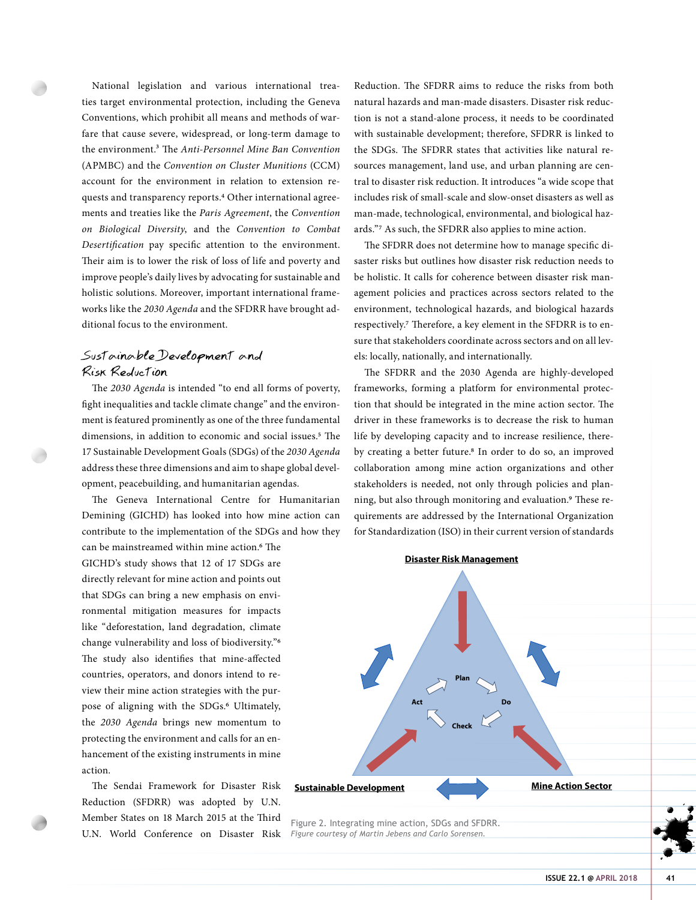National legislation and various international treaties target environmental protection, including the Geneva Conventions, which prohibit all means and methods of warfare that cause severe, widespread, or long-term damage to the environment.3 The *Anti-Personnel Mine Ban Convention* (APMBC) and the *Convention on Cluster Munitions* (CCM) account for the environment in relation to extension requests and transparency reports.4 Other international agreements and treaties like the *Paris Agreement*, the *Convention on Biological Diversity*, and the *Convention to Combat Desertification* pay specific attention to the environment. Their aim is to lower the risk of loss of life and poverty and improve people's daily lives by advocating for sustainable and holistic solutions. Moreover, important international frameworks like the *2030 Agenda* and the SFDRR have brought additional focus to the environment.

#### Sustainable Development and Risk Reduction

The *2030 Agenda* is intended "to end all forms of poverty, fight inequalities and tackle climate change" and the environment is featured prominently as one of the three fundamental dimensions, in addition to economic and social issues.<sup>5</sup> The 17 Sustainable Development Goals (SDGs) of the *2030 Agenda* address these three dimensions and aim to shape global development, peacebuilding, and humanitarian agendas.

The Geneva International Centre for Humanitarian Demining (GICHD) has looked into how mine action can contribute to the implementation of the SDGs and how they

can be mainstreamed within mine action.<sup>6</sup> The GICHD's study shows that 12 of 17 SDGs are directly relevant for mine action and points out that SDGs can bring a new emphasis on environmental mitigation measures for impacts like "deforestation, land degradation, climate change vulnerability and loss of biodiversity."6 The study also identifies that mine-affected countries, operators, and donors intend to review their mine action strategies with the purpose of aligning with the SDGs.<sup>6</sup> Ultimately, the *2030 Agenda* brings new momentum to protecting the environment and calls for an enhancement of the existing instruments in mine action.

The Sendai Framework for Disaster Risk Reduction (SFDRR) was adopted by U.N. Member States on 18 March 2015 at the Third U.N. World Conference on Disaster Risk Reduction. The SFDRR aims to reduce the risks from both natural hazards and man-made disasters. Disaster risk reduction is not a stand-alone process, it needs to be coordinated with sustainable development; therefore, SFDRR is linked to the SDGs. The SFDRR states that activities like natural resources management, land use, and urban planning are central to disaster risk reduction. It introduces "a wide scope that includes risk of small-scale and slow-onset disasters as well as man-made, technological, environmental, and biological hazards."7 As such, the SFDRR also applies to mine action.

The SFDRR does not determine how to manage specific disaster risks but outlines how disaster risk reduction needs to be holistic. It calls for coherence between disaster risk management policies and practices across sectors related to the environment, technological hazards, and biological hazards respectively.<sup>7</sup> Therefore, a key element in the SFDRR is to ensure that stakeholders coordinate across sectors and on all levels: locally, nationally, and internationally.

The SFDRR and the 2030 Agenda are highly-developed frameworks, forming a platform for environmental protection that should be integrated in the mine action sector. The driver in these frameworks is to decrease the risk to human life by developing capacity and to increase resilience, thereby creating a better future.8 In order to do so, an improved collaboration among mine action organizations and other stakeholders is needed, not only through policies and planning, but also through monitoring and evaluation.9 These requirements are addressed by the International Organization for Standardization (ISO) in their current version of standards



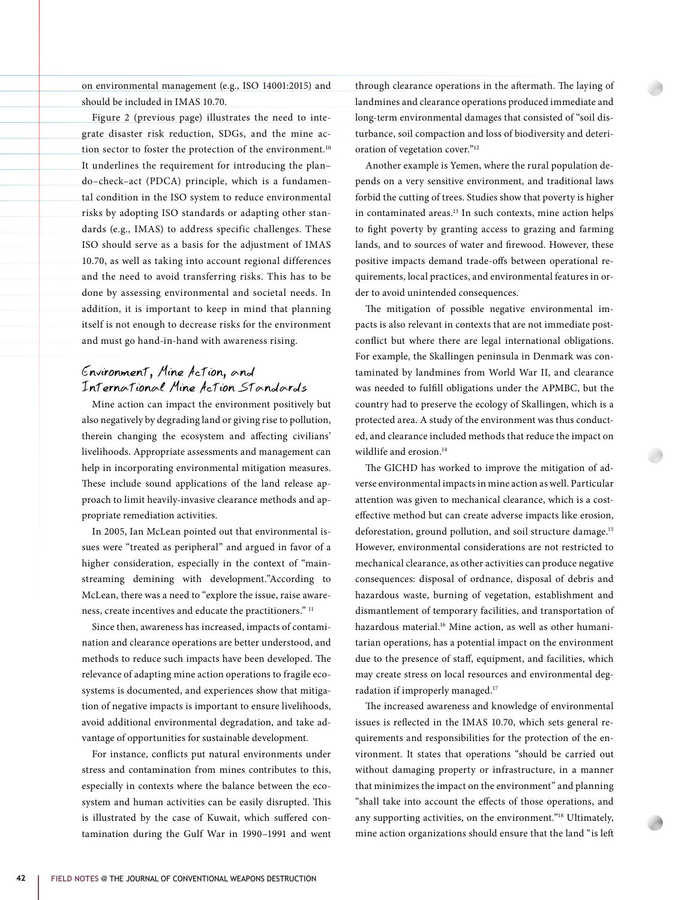on environmental management (e.g., ISO 14001:2015) and should be included in IMAS 10.70.

Figure 2 (previous page) illustrates the need to integrate disaster risk reduction, SDGs, and the mine action sector to foster the protection of the environment.<sup>10</sup> It underlines the requirement for introducing the plan– do–check–act (PDCA) principle, which is a fundamental condition in the ISO system to reduce environmental risks by adopting ISO standards or adapting other standards (e.g., IMAS) to address specific challenges. These ISO should serve as a basis for the adjustment of IMAS 10.70, as well as taking into account regional differences and the need to avoid transferring risks. This has to be done by assessing environmental and societal needs. In addition, it is important to keep in mind that planning itself is not enough to decrease risks for the environment and must go hand-in-hand with awareness rising.

## Environment, Mine Action, and International Mine Action Standards

Mine action can impact the environment positively but also negatively by degrading land or giving rise to pollution, therein changing the ecosystem and affecting civilians' livelihoods. Appropriate assessments and management can help in incorporating environmental mitigation measures. These include sound applications of the land release approach to limit heavily-invasive clearance methods and appropriate remediation activities.

In 2005, Ian McLean pointed out that environmental issues were "treated as peripheral" and argued in favor of a higher consideration, especially in the context of "mainstreaming demining with development."According to McLean, there was a need to "explore the issue, raise awareness, create incentives and educate the practitioners." 11

Since then, awareness has increased, impacts of contamination and clearance operations are better understood, and methods to reduce such impacts have been developed. The relevance of adapting mine action operations to fragile ecosystems is documented, and experiences show that mitigation of negative impacts is important to ensure livelihoods, avoid additional environmental degradation, and take advantage of opportunities for sustainable development.

For instance, conflicts put natural environments under stress and contamination from mines contributes to this, especially in contexts where the balance between the ecosystem and human activities can be easily disrupted. This is illustrated by the case of Kuwait, which suffered contamination during the Gulf War in 1990–1991 and went through clearance operations in the aftermath. The laying of landmines and clearance operations produced immediate and long-term environmental damages that consisted of "soil disturbance, soil compaction and loss of biodiversity and deterioration of vegetation cover."12

Another example is Yemen, where the rural population depends on a very sensitive environment, and traditional laws forbid the cutting of trees. Studies show that poverty is higher in contaminated areas.<sup>13</sup> In such contexts, mine action helps to fight poverty by granting access to grazing and farming lands, and to sources of water and firewood. However, these positive impacts demand trade-offs between operational requirements, local practices, and environmental features in order to avoid unintended consequences.

The mitigation of possible negative environmental impacts is also relevant in contexts that are not immediate postconflict but where there are legal international obligations. For example, the Skallingen peninsula in Denmark was contaminated by landmines from World War II, and clearance was needed to fulfill obligations under the APMBC, but the country had to preserve the ecology of Skallingen, which is a protected area. A study of the environment was thus conducted, and clearance included methods that reduce the impact on wildlife and erosion.<sup>14</sup>

The GICHD has worked to improve the mitigation of adverse environmental impacts in mine action as well. Particular attention was given to mechanical clearance, which is a costeffective method but can create adverse impacts like erosion, deforestation, ground pollution, and soil structure damage.15 However, environmental considerations are not restricted to mechanical clearance, as other activities can produce negative consequences: disposal of ordnance, disposal of debris and hazardous waste, burning of vegetation, establishment and dismantlement of temporary facilities, and transportation of hazardous material.<sup>16</sup> Mine action, as well as other humanitarian operations, has a potential impact on the environment due to the presence of staff, equipment, and facilities, which may create stress on local resources and environmental degradation if improperly managed.<sup>17</sup>

The increased awareness and knowledge of environmental issues is reflected in the IMAS 10.70, which sets general requirements and responsibilities for the protection of the environment. It states that operations "should be carried out without damaging property or infrastructure, in a manner that minimizes the impact on the environment" and planning "shall take into account the effects of those operations, and any supporting activities, on the environment."18 Ultimately, mine action organizations should ensure that the land "is left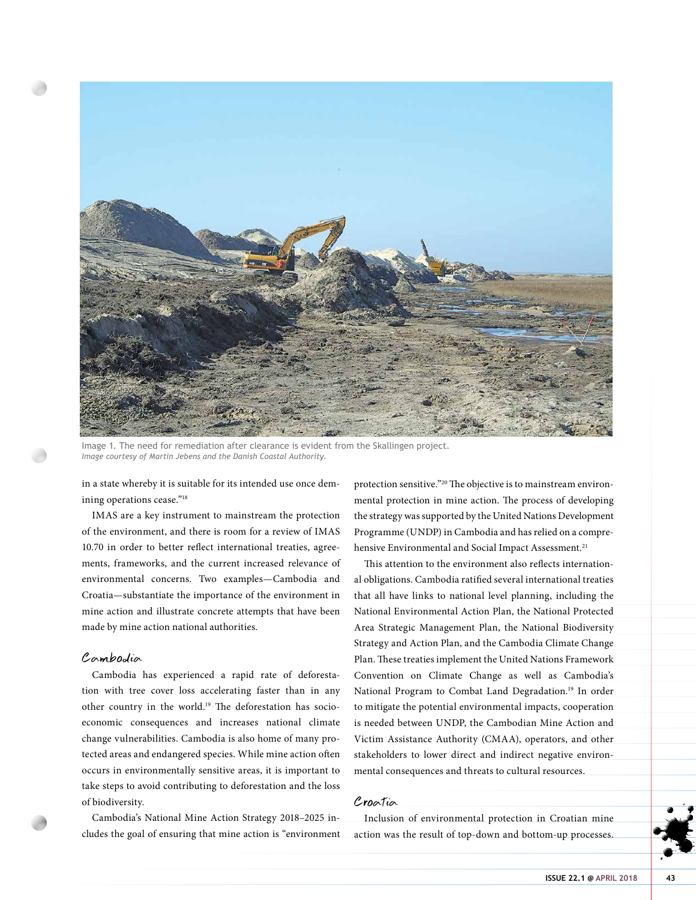

Image 1. The need for remediation after clearance is evident from the Skallingen project. *Image courtesy of Martin Jebens and the Danish Coastal Authority.*

in a state whereby it is suitable for its intended use once demining operations cease."18

IMAS are a key instrument to mainstream the protection of the environment, and there is room for a review of IMAS 10.70 in order to better reflect international treaties, agreements, frameworks, and the current increased relevance of environmental concerns. Two examples—Cambodia and Croatia—substantiate the importance of the environment in mine action and illustrate concrete attempts that have been made by mine action national authorities.

#### Cambodia

Cambodia has experienced a rapid rate of deforestation with tree cover loss accelerating faster than in any other country in the world.19 The deforestation has socioeconomic consequences and increases national climate change vulnerabilities. Cambodia is also home of many protected areas and endangered species. While mine action often occurs in environmentally sensitive areas, it is important to take steps to avoid contributing to deforestation and the loss of biodiversity.

Cambodia's National Mine Action Strategy 2018–2025 includes the goal of ensuring that mine action is "environment protection sensitive."20 The objective is to mainstream environmental protection in mine action. The process of developing the strategy was supported by the United Nations Development Programme (UNDP) in Cambodia and has relied on a comprehensive Environmental and Social Impact Assessment.<sup>21</sup>

This attention to the environment also reflects international obligations. Cambodia ratified several international treaties that all have links to national level planning, including the National Environmental Action Plan, the National Protected Area Strategic Management Plan, the National Biodiversity Strategy and Action Plan, and the Cambodia Climate Change Plan. These treaties implement the United Nations Framework Convention on Climate Change as well as Cambodia's National Program to Combat Land Degradation.<sup>19</sup> In order to mitigate the potential environmental impacts, cooperation is needed between UNDP, the Cambodian Mine Action and Victim Assistance Authority (CMAA), operators, and other stakeholders to lower direct and indirect negative environmental consequences and threats to cultural resources.

#### Croatia

Inclusion of environmental protection in Croatian mine action was the result of top-down and bottom-up processes.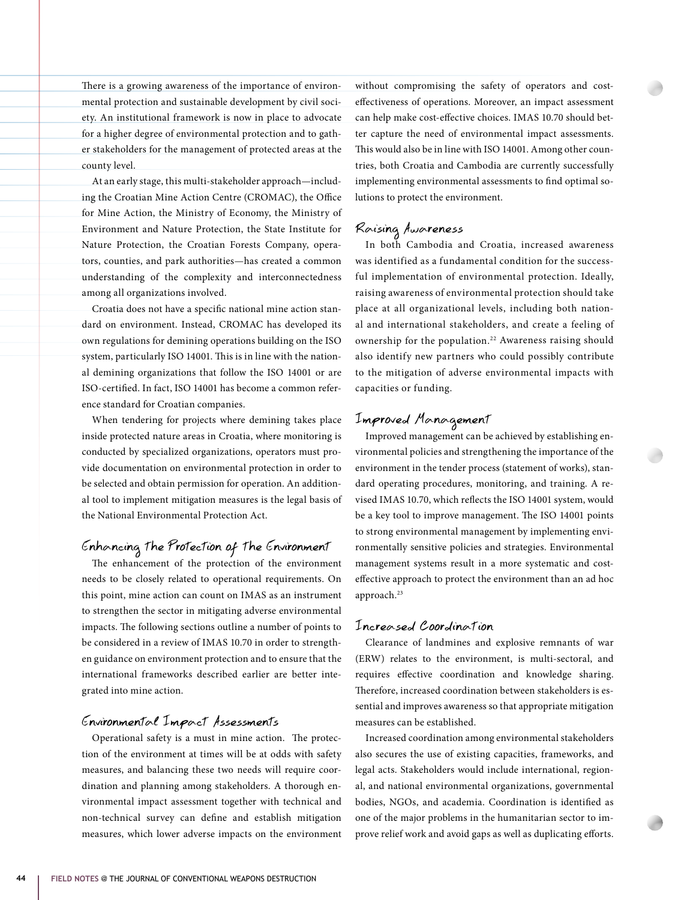There is a growing awareness of the importance of environmental protection and sustainable development by civil society. An institutional framework is now in place to advocate for a higher degree of environmental protection and to gather stakeholders for the management of protected areas at the county level.

At an early stage, this multi-stakeholder approach—including the Croatian Mine Action Centre (CROMAC), the Office for Mine Action, the Ministry of Economy, the Ministry of Environment and Nature Protection, the State Institute for Nature Protection, the Croatian Forests Company, operators, counties, and park authorities—has created a common understanding of the complexity and interconnectedness among all organizations involved.

Croatia does not have a specific national mine action standard on environment. Instead, CROMAC has developed its own regulations for demining operations building on the ISO system, particularly ISO 14001. This is in line with the national demining organizations that follow the ISO 14001 or are ISO-certified. In fact, ISO 14001 has become a common reference standard for Croatian companies.

When tendering for projects where demining takes place inside protected nature areas in Croatia, where monitoring is conducted by specialized organizations, operators must provide documentation on environmental protection in order to be selected and obtain permission for operation. An additional tool to implement mitigation measures is the legal basis of the National Environmental Protection Act.

## Enhancing the Protection of the Environment

The enhancement of the protection of the environment needs to be closely related to operational requirements. On this point, mine action can count on IMAS as an instrument to strengthen the sector in mitigating adverse environmental impacts. The following sections outline a number of points to be considered in a review of IMAS 10.70 in order to strengthen guidance on environment protection and to ensure that the international frameworks described earlier are better integrated into mine action.

#### Environmental Impact Assessments

Operational safety is a must in mine action. The protection of the environment at times will be at odds with safety measures, and balancing these two needs will require coordination and planning among stakeholders. A thorough environmental impact assessment together with technical and non-technical survey can define and establish mitigation measures, which lower adverse impacts on the environment

without compromising the safety of operators and costeffectiveness of operations. Moreover, an impact assessment can help make cost-effective choices. IMAS 10.70 should better capture the need of environmental impact assessments. This would also be in line with ISO 14001. Among other countries, both Croatia and Cambodia are currently successfully implementing environmental assessments to find optimal solutions to protect the environment.

#### Raising Awareness

In both Cambodia and Croatia, increased awareness was identified as a fundamental condition for the successful implementation of environmental protection. Ideally, raising awareness of environmental protection should take place at all organizational levels, including both national and international stakeholders, and create a feeling of ownership for the population.<sup>22</sup> Awareness raising should also identify new partners who could possibly contribute to the mitigation of adverse environmental impacts with capacities or funding.

#### Improved Management

Improved management can be achieved by establishing environmental policies and strengthening the importance of the environment in the tender process (statement of works), standard operating procedures, monitoring, and training. A revised IMAS 10.70, which reflects the ISO 14001 system, would be a key tool to improve management. The ISO 14001 points to strong environmental management by implementing environmentally sensitive policies and strategies. Environmental management systems result in a more systematic and costeffective approach to protect the environment than an ad hoc approach.<sup>23</sup>

#### Increased Coordination

Clearance of landmines and explosive remnants of war (ERW) relates to the environment, is multi-sectoral, and requires effective coordination and knowledge sharing. Therefore, increased coordination between stakeholders is essential and improves awareness so that appropriate mitigation measures can be established.

Increased coordination among environmental stakeholders also secures the use of existing capacities, frameworks, and legal acts. Stakeholders would include international, regional, and national environmental organizations, governmental bodies, NGOs, and academia. Coordination is identified as one of the major problems in the humanitarian sector to improve relief work and avoid gaps as well as duplicating efforts.